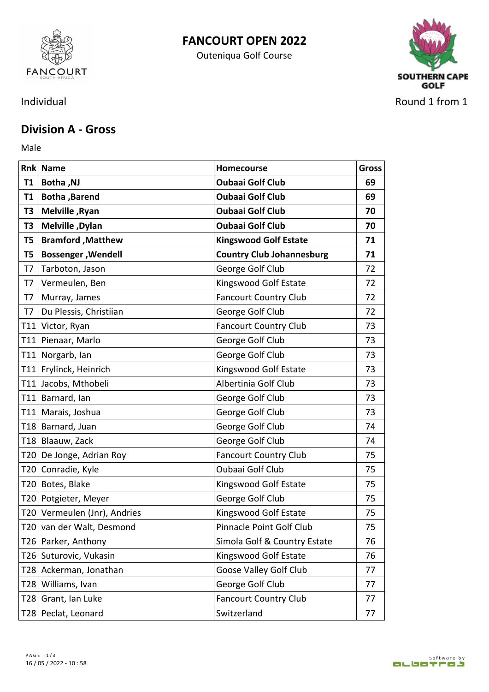

## **FANCOURT OPEN 2022**

Outeniqua Golf Course



## **Division A - Gross**

Male **Male Male Male Male Male Male** 

|           | <b>Rnk Name</b>              | Homecourse                       | <b>Gross</b> |
|-----------|------------------------------|----------------------------------|--------------|
| <b>T1</b> | <b>Botha, NJ</b>             | <b>Oubaai Golf Club</b>          | 69           |
|           | T1   Botha , Barend          | <b>Oubaai Golf Club</b>          | 69           |
| T3        | Melville, Ryan               | <b>Oubaai Golf Club</b>          | 70           |
| T3        | Melville, Dylan              | <b>Oubaai Golf Club</b>          | 70           |
| T5        | <b>Bramford, Matthew</b>     | <b>Kingswood Golf Estate</b>     | 71           |
| T5        | <b>Bossenger, Wendell</b>    | <b>Country Club Johannesburg</b> | 71           |
| T7        | Tarboton, Jason              | George Golf Club                 | 72           |
| T7        | Vermeulen, Ben               | Kingswood Golf Estate            | 72           |
| T7        | Murray, James                | <b>Fancourt Country Club</b>     | 72           |
| T7        | Du Plessis, Christiian       | George Golf Club                 | 72           |
|           | T11 Victor, Ryan             | <b>Fancourt Country Club</b>     | 73           |
|           | T11 Pienaar, Marlo           | George Golf Club                 | 73           |
|           | T11 Norgarb, Ian             | George Golf Club                 | 73           |
|           | T11 Frylinck, Heinrich       | Kingswood Golf Estate            | 73           |
|           | T11 Jacobs, Mthobeli         | Albertinia Golf Club             | 73           |
|           | T11 Barnard, Ian             | George Golf Club                 | 73           |
|           | T11   Marais, Joshua         | George Golf Club                 | 73           |
|           | T18 Barnard, Juan            | George Golf Club                 | 74           |
|           | T18 Blaauw, Zack             | George Golf Club                 | 74           |
|           | T20 De Jonge, Adrian Roy     | <b>Fancourt Country Club</b>     | 75           |
|           | T20 Conradie, Kyle           | Oubaai Golf Club                 | 75           |
|           | T20 Botes, Blake             | Kingswood Golf Estate            | 75           |
|           | T20 Potgieter, Meyer         | George Golf Club                 | 75           |
|           | T20 Vermeulen (Jnr), Andries | Kingswood Golf Estate            | 75           |
|           | T20 van der Walt, Desmond    | Pinnacle Point Golf Club         | 75           |
|           | T26   Parker, Anthony        | Simola Golf & Country Estate     | 76           |
|           | T26 Suturovic, Vukasin       | Kingswood Golf Estate            | 76           |
|           | T28 Ackerman, Jonathan       | Goose Valley Golf Club           | 77           |
|           | T28 Williams, Ivan           | George Golf Club                 | 77           |
|           | T28 Grant, Ian Luke          | <b>Fancourt Country Club</b>     | 77           |
|           | T28 Peclat, Leonard          | Switzerland                      | 77           |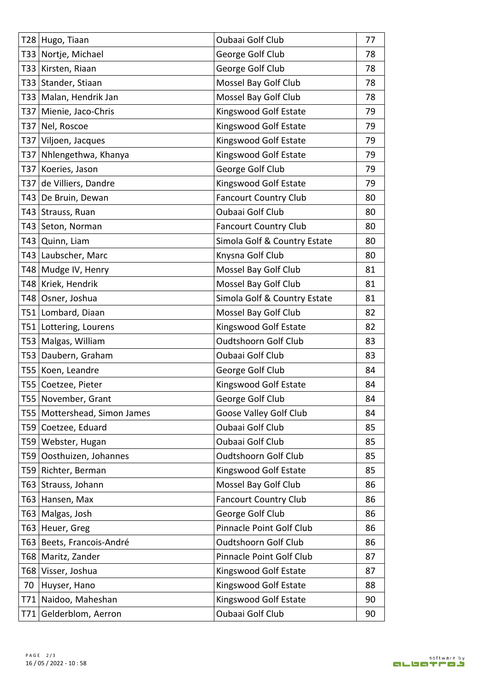| T28 Hugo, Tiaan                | Oubaai Golf Club             | 77 |
|--------------------------------|------------------------------|----|
| T33 Nortje, Michael            | George Golf Club             | 78 |
| T33 Kirsten, Riaan             | George Golf Club             | 78 |
| T33 Stander, Stiaan            | Mossel Bay Golf Club         | 78 |
| T33   Malan, Hendrik Jan       | Mossel Bay Golf Club         | 78 |
| T37 Mienie, Jaco-Chris         | Kingswood Golf Estate        | 79 |
| T37 Nel, Roscoe                | Kingswood Golf Estate        | 79 |
| T37 Viljoen, Jacques           | Kingswood Golf Estate        | 79 |
| T37 Nhlengethwa, Khanya        | Kingswood Golf Estate        | 79 |
| T37 Koeries, Jason             | George Golf Club             | 79 |
| T37 de Villiers, Dandre        | Kingswood Golf Estate        | 79 |
| T43 De Bruin, Dewan            | <b>Fancourt Country Club</b> | 80 |
| T43 Strauss, Ruan              | Oubaai Golf Club             | 80 |
| T43 Seton, Norman              | <b>Fancourt Country Club</b> | 80 |
| T43 Quinn, Liam                | Simola Golf & Country Estate | 80 |
| T43   Laubscher, Marc          | Knysna Golf Club             | 80 |
| T48 Mudge IV, Henry            | Mossel Bay Golf Club         | 81 |
| T48 Kriek, Hendrik             | Mossel Bay Golf Club         | 81 |
| T48 Osner, Joshua              | Simola Golf & Country Estate | 81 |
| T51 Lombard, Diaan             | Mossel Bay Golf Club         | 82 |
| T51   Lottering, Lourens       | Kingswood Golf Estate        | 82 |
| T53 Malgas, William            | <b>Oudtshoorn Golf Club</b>  | 83 |
| T53 Daubern, Graham            | Oubaai Golf Club             | 83 |
| T55 Koen, Leandre              | George Golf Club             | 84 |
| T55 Coetzee, Pieter            | Kingswood Golf Estate        | 84 |
| T55 November, Grant            | George Golf Club             | 84 |
| T55   Mottershead, Simon James | Goose Valley Golf Club       | 84 |
| T59 Coetzee, Eduard            | Oubaai Golf Club             | 85 |
| T59 Webster, Hugan             | <b>Oubaai Golf Club</b>      | 85 |
| T59 Oosthuizen, Johannes       | <b>Oudtshoorn Golf Club</b>  | 85 |
| T59 Richter, Berman            | Kingswood Golf Estate        | 85 |
| T63 Strauss, Johann            | Mossel Bay Golf Club         | 86 |
| T63 Hansen, Max                | <b>Fancourt Country Club</b> | 86 |
| T63 Malgas, Josh               | George Golf Club             | 86 |
| T63 Heuer, Greg                | Pinnacle Point Golf Club     | 86 |
| T63 Beets, Francois-André      | <b>Oudtshoorn Golf Club</b>  | 86 |
| T68   Maritz, Zander           | Pinnacle Point Golf Club     | 87 |
| T68 Visser, Joshua             | Kingswood Golf Estate        | 87 |
| 70 Huyser, Hano                | Kingswood Golf Estate        | 88 |
| T71   Naidoo, Maheshan         | Kingswood Golf Estate        | 90 |
| T71 Gelderblom, Aerron         | Oubaai Golf Club             | 90 |
|                                |                              |    |